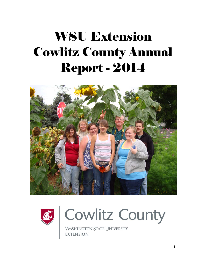# WSU Extension Cowlitz County Annual Report - 2014







WASHINGTON STATE UNIVERSITY **EXTENSION**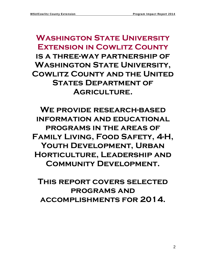# **Washington State University Extension in Cowlitz County is a three-way partnership of Washington State University, Cowlitz County and the United STATES DEPARTMENT OF Agriculture.**

**We provide research-based information and educational programs in the areas of Family Living, Food Safety, 4-H,**  YOUTH DEVELOPMENT, URBAN **Horticulture, Leadership and Community Development.** 

**This report covers selected programs and accomplishments for 2014.**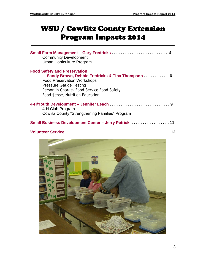# WSU / Cowlitz County Extension Program Impacts 2014

| Small Farm Management - Gary Fredricks  4<br><b>Community Development</b><br>Urban Horticulture Program                                                                                                                                           |
|---------------------------------------------------------------------------------------------------------------------------------------------------------------------------------------------------------------------------------------------------|
| <b>Food Safety and Preservation</b><br>- Sandy Brown, Debbie Fredricks & Tina Thompson 6<br><b>Food Preservation Workshops</b><br><b>Pressure Gauge Testing</b><br>Person in Charge- Food Service Food Safety<br>Food \$ense, Nutrition Education |
| 4-H Club Program<br><b>Cowlitz County "Strengthening Families" Program</b>                                                                                                                                                                        |
| Small Business Development Center - Jerry Petrick 11                                                                                                                                                                                              |

|--|--|

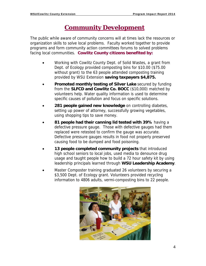# **Community Development**

The public while aware of community concerns will at times lack the resources or organization skills to solve local problems. Faculty worked together to provide programs and form community action committees forums to solved problems facing local communities. **Cowlitz County citizens benefited by:** 

- Working with Cowlitz County Dept. of Solid Wastes, a grant from Dept. of Ecology provided composting bins for \$10.00 (\$75.00 without grant) to the 63 people attended composting training provided by WSU Extension **saving taxpayers \$4,875.**
- **Promoted monthly testing of Silver Lake** secured by funding from the **SLFCD and Cowlitz Co. BOCC** (\$10,000) matched by volunteers help. Water quality information is used to determine specific causes of pollution and focus on specific solutions.
- **281 people gained new knowledge** on controlling diabetes, setting up power of attorney, successfully growing vegetables, using shopping tips to save money.
- **81 people had their canning lid tested with 39%** having a defective pressure gauge. Those with defective gauges had them replaced were retested to confirm the gauge was accurate. Defective pressure gauges results in food not properly preserved causing food to be dumped and food poisoning.
- **13 people completed community projects** that introduced high school seniors to local jobs, used media to denounce drug usage and taught people how to build a 72 hour safety kit by using leadership principals learned through **WSU Leadership Academy**.
- Master Composter training graduated 26 volunteers by securing a \$3,500 Dept. of Ecology grant. Volunteers provided recycling information to 4806 adults, vermi-composting bins to 22 people.

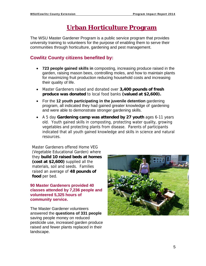# **Urban Horticulture Program**

The WSU Master Gardener Program is a public service program that provides university training to volunteers for the purpose of enabling them to serve their communities through horticulture, gardening and pest management.

# **Cowlitz County citizens benefited by:**

- **723 people gained skills in** composting, increasing produce raised in the garden, raising mason bees, controlling moles, and how to maintain plants for maximizing fruit production reducing household costs and increasing their quality of life.
- Master Gardeners raised and donated over **3,400 pounds of fresh produce was donated** to local food banks **(valued at \$2,600).**
- For the **12 youth participating in the juvenile detention** gardening program, all indicated they had gained greater knowledge of gardening and were able to demonstrate stronger gardening skills.
- A 5 day **Gardening camp was attended by 27 youth** ages 6-11 years old. Youth gained skills in composting, protecting water quality, growing vegetables and protecting plants from disease. Parents of participants indicated that all youth gained knowledge and skills in science and natural resources.

Master Gardeners offered Home VEG (Vegetable Educational Garden) where they **build 10 raised beds at homes (cost at \$2,600)** supplied all the materials, soil and seeds. Families raised an average of **48 pounds of food** per bed.

**90 Master Gardeners provided 40 classes attended by 7,236 people and volunteered 5,325 hours of community service.** 

The Master Gardener volunteers answered the **questions of 331 people** saving people money on reduced pesticide use, increased garden produce raised and fewer plants replaced in their landscape.

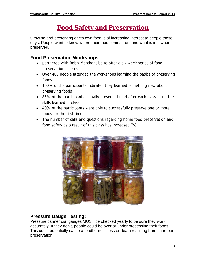# **Food Safety and Preservation**

Growing and preserving one's own food is of increasing interest to people these days. People want to know where their food comes from and what is in it when preserved.

# **Food Preservation Workshops**

- partnered with Bob's Merchandise to offer a six week series of food preservation classes
- Over 400 people attended the workshops learning the basics of preserving foods.
- 100% of the participants indicated they learned something new about preserving foods
- 85% of the participants actually preserved food after each class using the skills learned in class
- 40% of the participants were able to successfully preserve one or more foods for the first time.
- The number of calls and questions regarding home food preservation and food safety as a result of this class has increased 7%.



## **Pressure Gauge Testing:**

Pressure canner dial gauges MUST be checked yearly to be sure they work accurately. If they don't, people could be over or under processing their foods. This could potentially cause a foodborne illness or death resulting from improper preservation.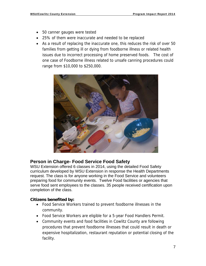- 50 canner gauges were tested
- 25% of them were inaccurate and needed to be replaced
- As a result of replacing the inaccurate one, this reduces the risk of over 50 families from getting ill or dying from foodborne illness or related health issues due to incorrect processing of home preserved foods. The cost of one case of Foodborne illness related to unsafe canning procedures could range from \$10,000 to \$250,000.



## **Person in Charge- Food Service Food Safety**

WSU Extension offered 6 classes in 2014, using the detailed Food Safety curriculum developed by WSU Extension in response the Health Departments request. The class is for anyone working in the Food Service and volunteers preparing food for community events. Twelve Food facilities or agencies that serve food sent employees to the classes. 35 people received certification upon completion of the class.

#### **Citizens benefited by:**

- Food Service Workers trained to prevent foodborne illnesses in the community.
- Food Service Workers are eligible for a 5-year Food Handlers Permit.
- Community events and food facilities in Cowlitz County are following procedures that prevent foodborne illnesses that could result in death or expensive hospitalization, restaurant reputation or potential closing of the facility.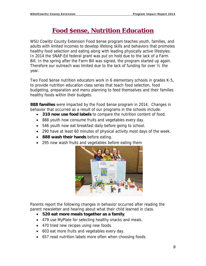# **Food \$ense, Nutrition Education**

WSU Cowlitz County Extension Food \$ense program teaches youth, families, and adults with limited incomes to develop lifelong skills and behaviors that promotes healthy food selection and eating along with leading physically active lifestyles. In 2014 the SNAP-Ed federal grant was put on hold due to the lack of a Farm Bill. In the spring after the Farm Bill was signed, the program started up again. Therefore our outreach was limited due to the lack of funding for over ½ the year.

Two Food \$ense nutrition educators work in 6 elementary schools in grades K-5, to provide nutrition education class series that teach food selection, food budgeting, preparation and menu planning to feed themselves and their families healthy foods within their budgets.

**888 families** were impacted by the Food \$ense program in 2014. Changes in behavior that occurred as a result of our programs in the schools include:

- **310 now use food labels** to compare the nutrition content of food.
- 888 youth now consume fruits and vegetables every day.
- 546 youth now eat breakfast daily before going to school.
- 290 have at least 60 minutes of physical activity most days of the week.
- **888 wash their hands** before eating.
- 295 now wash fruits and vegetables before eating them



Parents report the following changes in behavior occurred after reading the parent newsletter and hearing about what their child learned in class.

- **520 eat more meals together as a family**.
- 479 use MyPlate for selecting healthy snacks and meals.
- 470 tried new recipes using new foods.
- 603 eat more fruits and vegetables every day.
- 657 read nutrition labels more often when choosing foods.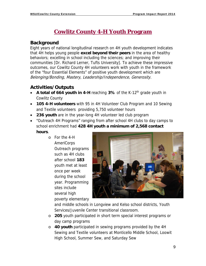# **Cowlitz County 4-H Youth Program**

# **Background**

Eight years of national longitudinal research on 4H youth development indicates that 4H helps young people **excel beyond their peers** in the area of healthy behaviors; excelling in school including the sciences; and improving their communities [Dr. Richard Lerner, Tufts University]. To achieve these impressive outcomes, our Cowlitz County 4H volunteers work with youth in the framework of the "four Essential Elements" of positive youth development which are Belonging/Bonding, Mastery, Leadership/Independence, Generosity.

# **Activities/Outputs**

- A total of 664 youth in 4-H reaching 3% of the K-12<sup>th</sup> grade youth in Cowlitz County
- **105 4-H volunteers** with 95 in 4H Volunteer Club Program and 10 Sewing and Textile volunteers providing 5,750 volunteer hours
- **236 youth** are in the year-long 4H volunteer led club program
- "Outreach 4H Programs" ranging from after school 4H clubs to day camps to school enrichment had **428 4H youth a minimum of 2,568 contact hours**.
	- o For the 4-H AmeriCorps Outreach programs such as 4H clubs after school **183**  youth met at least once per week during the school year. Programming sites include several high poverty elementary



and middle schools in Longview and Kelso school districts, Youth Services/Juvenile Center transitional classroom.

- o **205** youth participated in short term special interest programs or day camp programs
- o **40 youth** participated in sewing programs provided by the 4H Sewing and Textile volunteers at Monticello Middle School, Loowit High School, Summer Sew, and Saturday Sew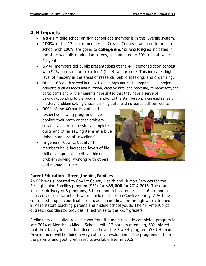### **4-H Impacts**

- **No** 4H middle school or high school age member is in the juvenile system.
- **100%** of the 12 senior members in Cowlitz County graduated from high school with 100% are going to **college and/or working** as indicated in the state wide 4H graduation survey, as compared to 80% of statewide 4H youth.
- **57** 4H members did public presentations at the 4-H demonstration contest with 95% receiving an "excellent" (blue) rating/score. This indicates high level of mastery in the areas of research, public speaking, and organizing.
- Of the **183** youth served in the 4H AmeriCorps outreach program doing project activities such as foods and nutrition, creative arts, and recycling, to name few, the participants and/or their parents have stated that they have a sense of belonging/bonding to the program and/or to the staff person; increased sense of mastery, problem solving/critical thinking skills; and increased self confidence
- **90%** of the **40** participants in the respective sewing programs have applied their math and/or problem solving skills to successfully complete quilts and other sewing items at a blue ribbon standard of "excellent".
- In general, Cowlitz County 4H members have increased levels of life skill development in critical thinking, problem solving, working with others, and managing time



#### **Parent Education—Strengthening Families**

An RFP was submitted to Cowlitz County Health and Human Services for the Strengthening Families program (SFP) for **\$89,000** for 2014-2016. The grant includes delivery of 8 programs, 8 three month booster sessions, 6 six month booster sessions targeted towards middle schools in Cowlitz County. A ½ time contracted project coordinator is providing coordination through with 7 trained SFP facilitators teaching parents and middle school youth. The 4H AmeriCorps outreach coordinator provides 4H activities to the K-5<sup>th</sup> graders.

Preliminary evaluation results show from the most recently completed program in late 2014 at Monticello Middle School—with 12 parents attending, 63% stated that their family tension had decreased over the 7 week program. WSU Human Development will be doing a very extensive evaluation of the programs of both the parents and youth, with results available later in 2015.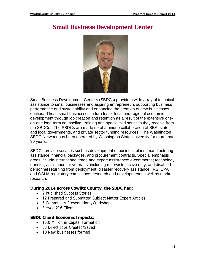# **Small Business Development Center**



Small Business Development Centers (SBDCs) provide a wide array of technical assistance to small businesses and aspiring entrepreneurs supporting business performance and sustainability and enhancing the creation of new businesses entities. These small businesses in turn foster local and regional economic development through job creation and retention as a result of the extensive oneon-one long-term counseling, training and specialized services they receive from the SBDCs. The SBDCs are made up of a unique collaboration of SBA, state and local governments, and private sector funding resources. The Washington SBDC Network has been operated by Washington State University for more than 30 years.

SBDCs provide services such as development of business plans, manufacturing assistance, financial packages, and procurement contracts. Special emphasis areas include international trade and export assistance; e-commerce; technology transfer; assistance for veterans, including reservists, active duty, and disabled personnel returning from deployment; disaster recovery assistance; IRS, EPA, and OSHA regulatory compliance; research and development as well as market research.

#### **During 2014 across Cowlitz County, the SBDC had:**

- 2 Published Success Stories
- 12 Prepared and Submitted Subject Matter Expert Articles
- 6 Community Presentations/Workshops
- Served 216 Clients

#### **SBDC Client Economic Impacts:**

- \$5.0 Million in Capital Formation
- 63 Direct Jobs Created/Saved
- 10 New businesses formed